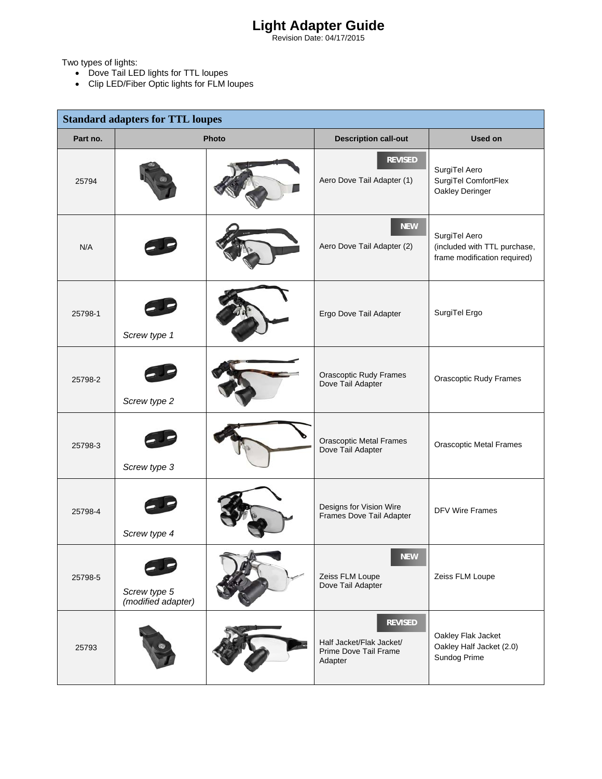## **Light Adapter Guide**

Revision Date: 04/17/2015

Two types of lights:

- Dove Tail LED lights for TTL loupes
- Clip LED/Fiber Optic lights for FLM loupes

| <b>Standard adapters for TTL loupes</b> |                                    |       |                                                                                |                                                                               |
|-----------------------------------------|------------------------------------|-------|--------------------------------------------------------------------------------|-------------------------------------------------------------------------------|
| Part no.                                |                                    | Photo | <b>Description call-out</b>                                                    | <b>Used on</b>                                                                |
| 25794                                   |                                    |       | <b>REVISED</b><br>Aero Dove Tail Adapter (1)                                   | SurgiTel Aero<br>SurgiTel ComfortFlex<br>Oakley Deringer                      |
| N/A                                     |                                    |       | <b>NEW</b><br>Aero Dove Tail Adapter (2)                                       | SurgiTel Aero<br>(included with TTL purchase,<br>frame modification required) |
| 25798-1                                 | Screw type 1                       |       | Ergo Dove Tail Adapter                                                         | SurgiTel Ergo                                                                 |
| 25798-2                                 | Screw type 2                       |       | Orascoptic Rudy Frames<br>Dove Tail Adapter                                    | <b>Orascoptic Rudy Frames</b>                                                 |
| 25798-3                                 | Screw type 3                       |       | <b>Orascoptic Metal Frames</b><br>Dove Tail Adapter                            | <b>Orascoptic Metal Frames</b>                                                |
| 25798-4                                 | Screw type 4                       |       | Designs for Vision Wire<br>Frames Dove Tail Adapter                            | <b>DFV Wire Frames</b>                                                        |
| 25798-5                                 | Screw type 5<br>(modified adapter) |       | <b>NEW</b><br>Zeiss FLM Loupe<br>Dove Tail Adapter                             | Zeiss FLM Loupe                                                               |
| 25793                                   |                                    |       | <b>REVISED</b><br>Half Jacket/Flak Jacket/<br>Prime Dove Tail Frame<br>Adapter | Oakley Flak Jacket<br>Oakley Half Jacket (2.0)<br>Sundog Prime                |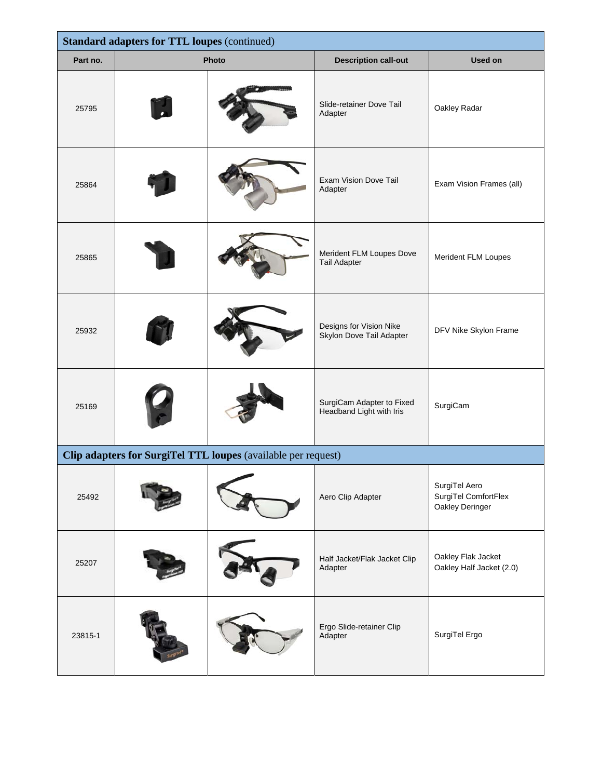| <b>Standard adapters for TTL loupes (continued)</b>           |       |  |                                                       |                                                          |  |
|---------------------------------------------------------------|-------|--|-------------------------------------------------------|----------------------------------------------------------|--|
| Part no.                                                      | Photo |  | <b>Description call-out</b>                           | <b>Used on</b>                                           |  |
| 25795                                                         |       |  | Slide-retainer Dove Tail<br>Adapter                   | Oakley Radar                                             |  |
| 25864                                                         |       |  | Exam Vision Dove Tail<br>Adapter                      | Exam Vision Frames (all)                                 |  |
| 25865                                                         |       |  | Merident FLM Loupes Dove<br><b>Tail Adapter</b>       | Merident FLM Loupes                                      |  |
| 25932                                                         |       |  | Designs for Vision Nike<br>Skylon Dove Tail Adapter   | DFV Nike Skylon Frame                                    |  |
| 25169                                                         |       |  | SurgiCam Adapter to Fixed<br>Headband Light with Iris | SurgiCam                                                 |  |
| Clip adapters for SurgiTel TTL loupes (available per request) |       |  |                                                       |                                                          |  |
| 25492                                                         |       |  | Aero Clip Adapter                                     | SurgiTel Aero<br>SurgiTel ComfortFlex<br>Oakley Deringer |  |
| 25207                                                         |       |  | Half Jacket/Flak Jacket Clip<br>Adapter               | Oakley Flak Jacket<br>Oakley Half Jacket (2.0)           |  |
| 23815-1                                                       |       |  | Ergo Slide-retainer Clip<br>Adapter                   | SurgiTel Ergo                                            |  |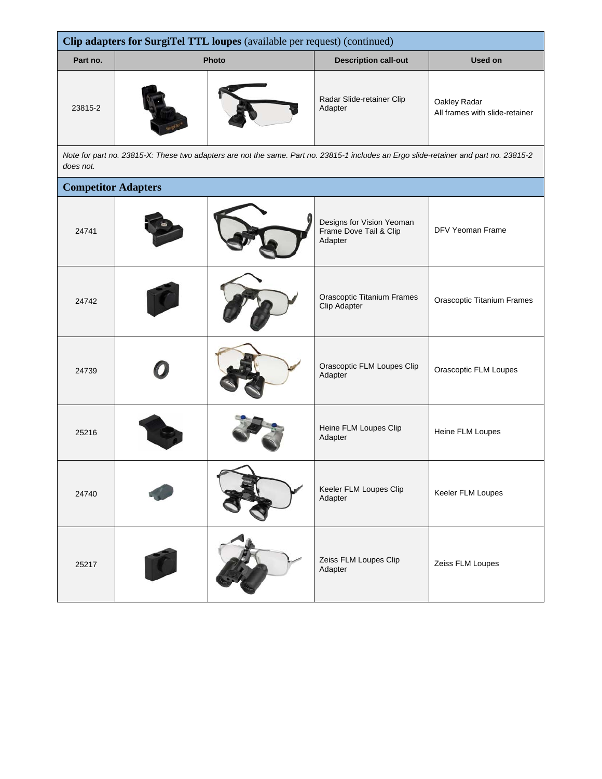| Clip adapters for SurgiTel TTL loupes (available per request) (continued)                                                                          |       |  |                                                                |                                                |  |
|----------------------------------------------------------------------------------------------------------------------------------------------------|-------|--|----------------------------------------------------------------|------------------------------------------------|--|
| Part no.                                                                                                                                           | Photo |  | <b>Description call-out</b>                                    | Used on                                        |  |
| 23815-2                                                                                                                                            |       |  | Radar Slide-retainer Clip<br>Adapter                           | Oakley Radar<br>All frames with slide-retainer |  |
| Note for part no. 23815-X: These two adapters are not the same. Part no. 23815-1 includes an Ergo slide-retainer and part no. 23815-2<br>does not. |       |  |                                                                |                                                |  |
| <b>Competitor Adapters</b>                                                                                                                         |       |  |                                                                |                                                |  |
| 24741                                                                                                                                              |       |  | Designs for Vision Yeoman<br>Frame Dove Tail & Clip<br>Adapter | DFV Yeoman Frame                               |  |

|       |  | nuapion                                           |                                   |
|-------|--|---------------------------------------------------|-----------------------------------|
| 24742 |  | <b>Orascoptic Titanium Frames</b><br>Clip Adapter | <b>Orascoptic Titanium Frames</b> |
| 24739 |  | Orascoptic FLM Loupes Clip<br>Adapter             | Orascoptic FLM Loupes             |
| 25216 |  | Heine FLM Loupes Clip<br>Adapter                  | Heine FLM Loupes                  |
| 24740 |  | Keeler FLM Loupes Clip<br>Adapter                 | Keeler FLM Loupes                 |
| 25217 |  | Zeiss FLM Loupes Clip<br>Adapter                  | Zeiss FLM Loupes                  |
|       |  |                                                   |                                   |